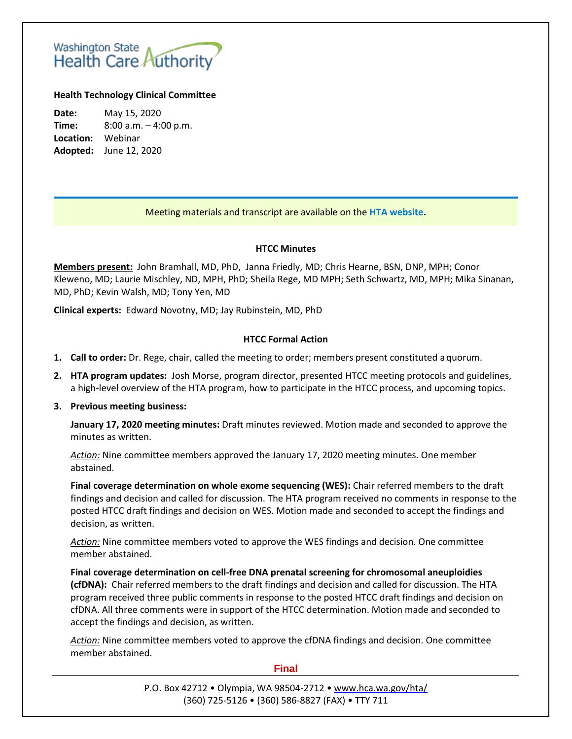# Washington State<br>Health Care Authority

# **Health Technology Clinical Committee**

**Date:** May 15, 2020 **Time:** 8:00 a.m. – 4:00 p.m. **Location:** Webinar **Adopted:** June 12, 2020

# Meeting materials and transcript are available on the **[HTA website.](https://www.hca.wa.gov/about-hca/health-technology-assessment/meetings-and-materials)**

# **HTCC Minutes**

**Members present:** John Bramhall, MD, PhD, Janna Friedly, MD; Chris Hearne, BSN, DNP, MPH; Conor Kleweno, MD; Laurie Mischley, ND, MPH, PhD; Sheila Rege, MD MPH; Seth Schwartz, MD, MPH; Mika Sinanan, MD, PhD; Kevin Walsh, MD; Tony Yen, MD

**Clinical experts:** Edward Novotny, MD; Jay Rubinstein, MD, PhD

# **HTCC Formal Action**

- **1. Call to order:** Dr. Rege, chair, called the meeting to order; members present constituted a quorum.
- **2. HTA program updates:** Josh Morse, program director, presented HTCC meeting protocols and guidelines, a high-level overview of the HTA program, how to participate in the HTCC process, and upcoming topics.

# **3. Previous meeting business:**

**January 17, 2020 meeting minutes:** Draft minutes reviewed. Motion made and seconded to approve the minutes as written.

*Action:* Nine committee members approved the January 17, 2020 meeting minutes. One member abstained.

**Final coverage determination on whole exome sequencing (WES):** Chair referred members to the draft findings and decision and called for discussion. The HTA program received no comments in response to the posted HTCC draft findings and decision on WES. Motion made and seconded to accept the findings and decision, as written.

*Action:* Nine committee members voted to approve the WES findings and decision. One committee member abstained.

**Final coverage determination on cell-free DNA prenatal screening for chromosomal aneuploidies (cfDNA):** Chair referred members to the draft findings and decision and called for discussion. The HTA program received three public comments in response to the posted HTCC draft findings and decision on cfDNA. All three comments were in support of the HTCC determination. Motion made and seconded to accept the findings and decision, as written.

*Action:* Nine committee members voted to approve the cfDNA findings and decision. One committee member abstained.

#### **Final**

P.O. Box 42712 • Olympia, WA 98504-2712 • [www.hca.wa.gov/hta/](http://www.hca.wa.gov/hta/) (360) 725-5126 • (360) 586-8827 (FAX) • TTY 711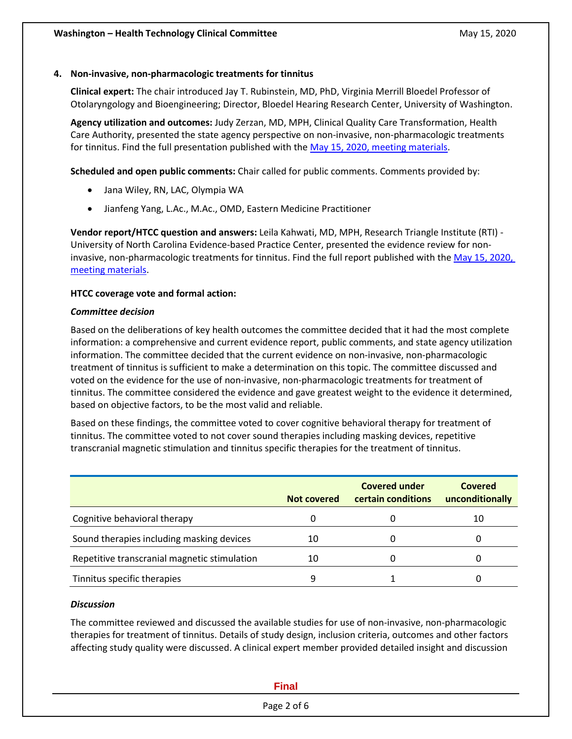# **4. Non-invasive, non-pharmacologic treatments for tinnitus**

**Clinical expert:** The chair introduced Jay T. Rubinstein, MD, PhD, Virginia Merrill Bloedel Professor of Otolaryngology and Bioengineering; Director, Bloedel Hearing Research Center, University of Washington.

**Agency utilization and outcomes:** Judy Zerzan, MD, MPH, Clinical Quality Care Transformation, Health Care Authority, presented the state agency perspective on non-invasive, non-pharmacologic treatments for tinnitus. Find the full presentation published with the [May 15, 2020, meeting materials.](https://www.hca.wa.gov/about-hca/health-technology-assessment/meetings-and-materials)

**Scheduled and open public comments:** Chair called for public comments. Comments provided by:

- Jana Wiley, RN, LAC, Olympia WA
- Jianfeng Yang, L.Ac., M.Ac., OMD, Eastern Medicine Practitioner

**Vendor report/HTCC question and answers:** Leila Kahwati, MD, MPH, Research Triangle Institute (RTI) - University of North Carolina Evidence-based Practice Center, presented the evidence review for noninvasive, non-pharmacologic treatments for tinnitus. Find the full report published with the [May 15, 2020,](https://www.hca.wa.gov/about-hca/health-technology-assessment/meetings-and-materials)  [meeting materials.](https://www.hca.wa.gov/about-hca/health-technology-assessment/meetings-and-materials)

# **HTCC coverage vote and formal action:**

#### *Committee decision*

Based on the deliberations of key health outcomes the committee decided that it had the most complete information: a comprehensive and current evidence report, public comments, and state agency utilization information. The committee decided that the current evidence on non-invasive, non-pharmacologic treatment of tinnitus is sufficient to make a determination on this topic. The committee discussed and voted on the evidence for the use of non-invasive, non-pharmacologic treatments for treatment of tinnitus. The committee considered the evidence and gave greatest weight to the evidence it determined, based on objective factors, to be the most valid and reliable.

Based on these findings, the committee voted to cover cognitive behavioral therapy for treatment of tinnitus. The committee voted to not cover sound therapies including masking devices, repetitive transcranial magnetic stimulation and tinnitus specific therapies for the treatment of tinnitus.

|                                              | Not covered | <b>Covered under</b><br>certain conditions | <b>Covered</b><br>unconditionally |
|----------------------------------------------|-------------|--------------------------------------------|-----------------------------------|
| Cognitive behavioral therapy                 | 0           |                                            | 10                                |
| Sound therapies including masking devices    | 10          |                                            |                                   |
| Repetitive transcranial magnetic stimulation | 10          |                                            |                                   |
| Tinnitus specific therapies                  | 9           |                                            |                                   |

#### *Discussion*

The committee reviewed and discussed the available studies for use of non-invasive, non-pharmacologic therapies for treatment of tinnitus. Details of study design, inclusion criteria, outcomes and other factors affecting study quality were discussed. A clinical expert member provided detailed insight and discussion

| <b>Final</b> |  |
|--------------|--|
| Page 2 of 6  |  |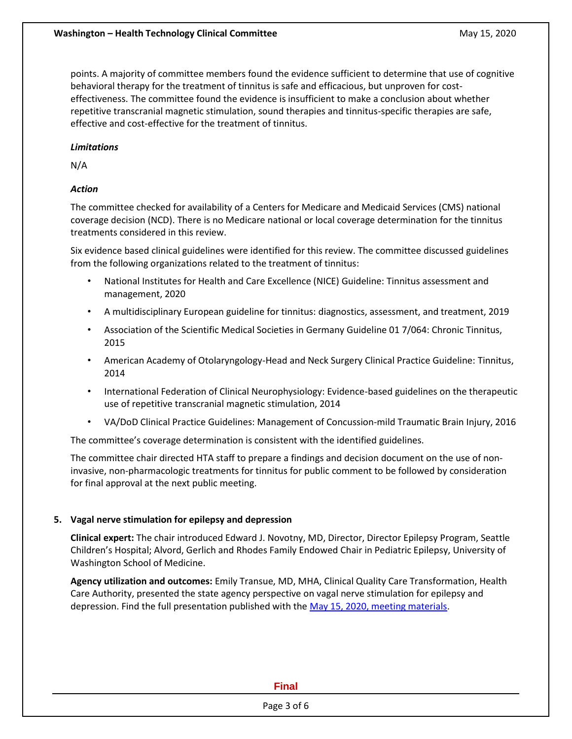points. A majority of committee members found the evidence sufficient to determine that use of cognitive behavioral therapy for the treatment of tinnitus is safe and efficacious, but unproven for costeffectiveness. The committee found the evidence is insufficient to make a conclusion about whether repetitive transcranial magnetic stimulation, sound therapies and tinnitus-specific therapies are safe, effective and cost-effective for the treatment of tinnitus.

# *Limitations*

N/A

# *Action*

The committee checked for availability of a Centers for Medicare and Medicaid Services (CMS) national coverage decision (NCD). There is no Medicare national or local coverage determination for the tinnitus treatments considered in this review.

Six evidence based clinical guidelines were identified for this review. The committee discussed guidelines from the following organizations related to the treatment of tinnitus:

- National Institutes for Health and Care Excellence (NICE) Guideline: Tinnitus assessment and management, 2020
- A multidisciplinary European guideline for tinnitus: diagnostics, assessment, and treatment, 2019
- Association of the Scientific Medical Societies in Germany Guideline 01 7/064: Chronic Tinnitus, 2015
- American Academy of Otolaryngology-Head and Neck Surgery Clinical Practice Guideline: Tinnitus, 2014
- International Federation of Clinical Neurophysiology: Evidence-based guidelines on the therapeutic use of repetitive transcranial magnetic stimulation, 2014
- VA/DoD Clinical Practice Guidelines: Management of Concussion-mild Traumatic Brain Injury, 2016

The committee's coverage determination is consistent with the identified guidelines.

The committee chair directed HTA staff to prepare a findings and decision document on the use of noninvasive, non-pharmacologic treatments for tinnitus for public comment to be followed by consideration for final approval at the next public meeting.

# **5. Vagal nerve stimulation for epilepsy and depression**

**Clinical expert:** The chair introduced Edward J. Novotny, MD, Director, Director Epilepsy Program, Seattle Children's Hospital; Alvord, Gerlich and Rhodes Family Endowed Chair in Pediatric Epilepsy, University of Washington School of Medicine.

**Agency utilization and outcomes:** Emily Transue, MD, MHA, Clinical Quality Care Transformation, Health Care Authority, presented the state agency perspective on vagal nerve stimulation for epilepsy and depression. Find the full presentation published with th[e May 15, 2020, meeting materials.](https://www.hca.wa.gov/about-hca/health-technology-assessment/meetings-and-materials)

#### **Final**

Page 3 of 6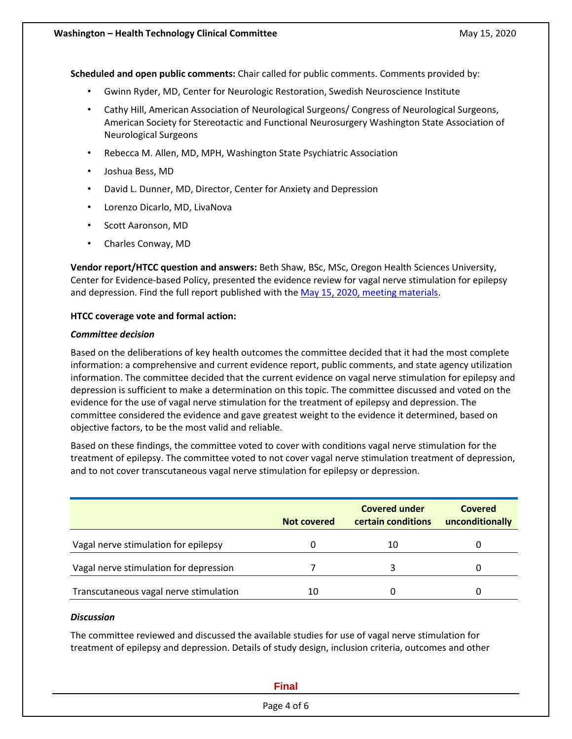**Scheduled and open public comments:** Chair called for public comments. Comments provided by:

- Gwinn Ryder, MD, Center for Neurologic Restoration, Swedish Neuroscience Institute
- Cathy Hill, American Association of Neurological Surgeons/ Congress of Neurological Surgeons, American Society for Stereotactic and Functional Neurosurgery Washington State Association of Neurological Surgeons
- Rebecca M. Allen, MD, MPH, Washington State Psychiatric Association
- Joshua Bess, MD
- David L. Dunner, MD, Director, Center for Anxiety and Depression
- Lorenzo Dicarlo, MD, LivaNova
- Scott Aaronson, MD
- Charles Conway, MD

**Vendor report/HTCC question and answers:** Beth Shaw, BSc, MSc, Oregon Health Sciences University, Center for Evidence-based Policy, presented the evidence review for vagal nerve stimulation for epilepsy and depression. Find the full report published with the [May 15, 2020, meeting materials.](https://www.hca.wa.gov/about-hca/health-technology-assessment/meetings-and-materials)

#### **HTCC coverage vote and formal action:**

#### *Committee decision*

Based on the deliberations of key health outcomes the committee decided that it had the most complete information: a comprehensive and current evidence report, public comments, and state agency utilization information. The committee decided that the current evidence on vagal nerve stimulation for epilepsy and depression is sufficient to make a determination on this topic. The committee discussed and voted on the evidence for the use of vagal nerve stimulation for the treatment of epilepsy and depression. The committee considered the evidence and gave greatest weight to the evidence it determined, based on objective factors, to be the most valid and reliable.

Based on these findings, the committee voted to cover with conditions vagal nerve stimulation for the treatment of epilepsy. The committee voted to not cover vagal nerve stimulation treatment of depression, and to not cover transcutaneous vagal nerve stimulation for epilepsy or depression.

|                                        | Not covered | <b>Covered under</b><br>certain conditions | Covered<br>unconditionally |
|----------------------------------------|-------------|--------------------------------------------|----------------------------|
| Vagal nerve stimulation for epilepsy   |             | 10                                         | 0                          |
| Vagal nerve stimulation for depression |             |                                            |                            |
| Transcutaneous vagal nerve stimulation | 10          |                                            |                            |

#### *Discussion*

The committee reviewed and discussed the available studies for use of vagal nerve stimulation for treatment of epilepsy and depression. Details of study design, inclusion criteria, outcomes and other

# **Final** Page 4 of 6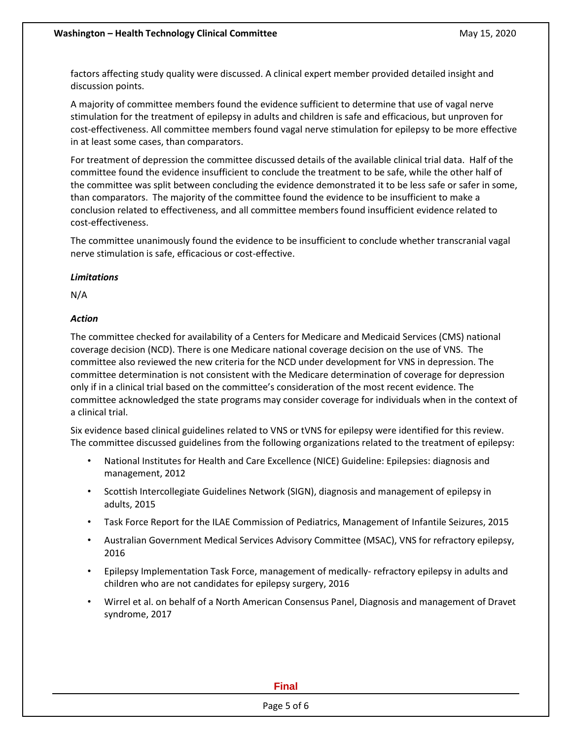factors affecting study quality were discussed. A clinical expert member provided detailed insight and discussion points.

A majority of committee members found the evidence sufficient to determine that use of vagal nerve stimulation for the treatment of epilepsy in adults and children is safe and efficacious, but unproven for cost-effectiveness. All committee members found vagal nerve stimulation for epilepsy to be more effective in at least some cases, than comparators.

For treatment of depression the committee discussed details of the available clinical trial data. Half of the committee found the evidence insufficient to conclude the treatment to be safe, while the other half of the committee was split between concluding the evidence demonstrated it to be less safe or safer in some, than comparators. The majority of the committee found the evidence to be insufficient to make a conclusion related to effectiveness, and all committee members found insufficient evidence related to cost-effectiveness.

The committee unanimously found the evidence to be insufficient to conclude whether transcranial vagal nerve stimulation is safe, efficacious or cost-effective.

# *Limitations*

N/A

# *Action*

The committee checked for availability of a Centers for Medicare and Medicaid Services (CMS) national coverage decision (NCD). There is one Medicare national coverage decision on the use of VNS. The committee also reviewed the new criteria for the NCD under development for VNS in depression. The committee determination is not consistent with the Medicare determination of coverage for depression only if in a clinical trial based on the committee's consideration of the most recent evidence. The committee acknowledged the state programs may consider coverage for individuals when in the context of a clinical trial.

Six evidence based clinical guidelines related to VNS or tVNS for epilepsy were identified for this review. The committee discussed guidelines from the following organizations related to the treatment of epilepsy:

- National Institutes for Health and Care Excellence (NICE) Guideline: Epilepsies: diagnosis and management, 2012
- Scottish Intercollegiate Guidelines Network (SIGN), diagnosis and management of epilepsy in adults, 2015
- Task Force Report for the ILAE Commission of Pediatrics, Management of Infantile Seizures, 2015
- Australian Government Medical Services Advisory Committee (MSAC), VNS for refractory epilepsy, 2016
- Epilepsy Implementation Task Force, management of medically- refractory epilepsy in adults and children who are not candidates for epilepsy surgery, 2016
- Wirrel et al. on behalf of a North American Consensus Panel, Diagnosis and management of Dravet syndrome, 2017

**Final**

Page 5 of 6